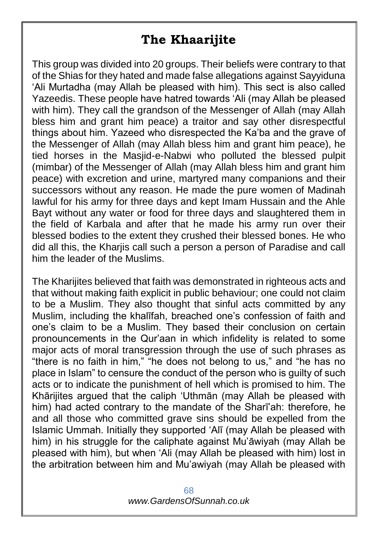## **The Khaarijite**

This group was divided into 20 groups. Their beliefs were contrary to that of the Shias for they hated and made false allegations against Sayyiduna 'Ali Murtadha (may Allah be pleased with him). This sect is also called Yazeedis. These people have hatred towards 'Ali (may Allah be pleased with him). They call the grandson of the Messenger of Allah (may Allah bless him and grant him peace) a traitor and say other disrespectful things about him. Yazeed who disrespected the Ka'ba and the grave of the Messenger of Allah (may Allah bless him and grant him peace), he tied horses in the Masjid-e-Nabwi who polluted the blessed pulpit (mimbar) of the Messenger of Allah (may Allah bless him and grant him peace) with excretion and urine, martyred many companions and their successors without any reason. He made the pure women of Madinah lawful for his army for three days and kept Imam Hussain and the Ahle Bayt without any water or food for three days and slaughtered them in the field of Karbala and after that he made his army run over their blessed bodies to the extent they crushed their blessed bones. He who did all this, the Kharjis call such a person a person of Paradise and call him the leader of the Muslims.

The Kharijites believed that faith was demonstrated in righteous acts and that without making faith explicit in public behaviour; one could not claim to be a Muslim. They also thought that sinful acts committed by any Muslim, including the khalīfah, breached one's confession of faith and one's claim to be a Muslim. They based their conclusion on certain pronouncements in the Qur'aan in which infidelity is related to some major acts of moral transgression through the use of such phrases as "there is no faith in him," "he does not belong to us," and "he has no place in Islam" to censure the conduct of the person who is guilty of such acts or to indicate the punishment of hell which is promised to him. The Khārijites argued that the caliph 'Uthmān (may Allah be pleased with him) had acted contrary to the mandate of the Sharī'ah: therefore, he and all those who committed grave sins should be expelled from the Islamic Ummah. Initially they supported 'Alī (may Allah be pleased with him) in his struggle for the caliphate against Mu'āwiyah (may Allah be pleased with him), but when 'Ali (may Allah be pleased with him) lost in the arbitration between him and Mu'awiyah (may Allah be pleased with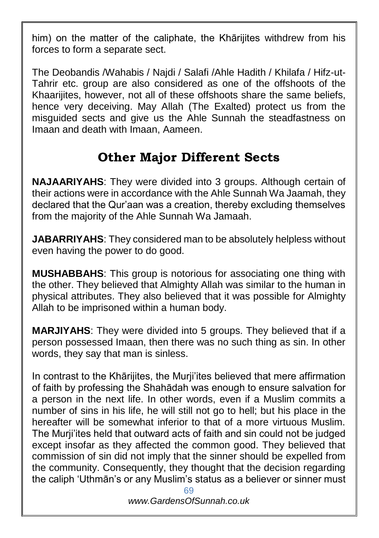him) on the matter of the caliphate, the Khārijites withdrew from his forces to form a separate sect.

The Deobandis /Wahabis / Najdi / Salafi /Ahle Hadith / Khilafa / Hifz-ut-Tahrir etc. group are also considered as one of the offshoots of the Khaarijites, however, not all of these offshoots share the same beliefs. hence very deceiving. May Allah (The Exalted) protect us from the misguided sects and give us the Ahle Sunnah the steadfastness on Imaan and death with Imaan, Aameen.

## **Other Major Different Sects**

**NAJAARIYAHS**: They were divided into 3 groups. Although certain of their actions were in accordance with the Ahle Sunnah Wa Jaamah, they declared that the Qur'aan was a creation, thereby excluding themselves from the majority of the Ahle Sunnah Wa Jamaah.

**JABARRIYAHS**: They considered man to be absolutely helpless without even having the power to do good.

**MUSHABBAHS**: This group is notorious for associating one thing with the other. They believed that Almighty Allah was similar to the human in physical attributes. They also believed that it was possible for Almighty Allah to be imprisoned within a human body.

**MARJIYAHS**: They were divided into 5 groups. They believed that if a person possessed Imaan, then there was no such thing as sin. In other words, they say that man is sinless.

In contrast to the Khārijites, the Murji'ites believed that mere affirmation of faith by professing the Shahādah was enough to ensure salvation for a person in the next life. In other words, even if a Muslim commits a number of sins in his life, he will still not go to hell; but his place in the hereafter will be somewhat inferior to that of a more virtuous Muslim. The Murji'ites held that outward acts of faith and sin could not be judged except insofar as they affected the common good. They believed that commission of sin did not imply that the sinner should be expelled from the community. Consequently, they thought that the decision regarding the caliph 'Uthmān's or any Muslim's status as a believer or sinner must

*www.GardensOfSunnah.co.uk*

<sup>69</sup>